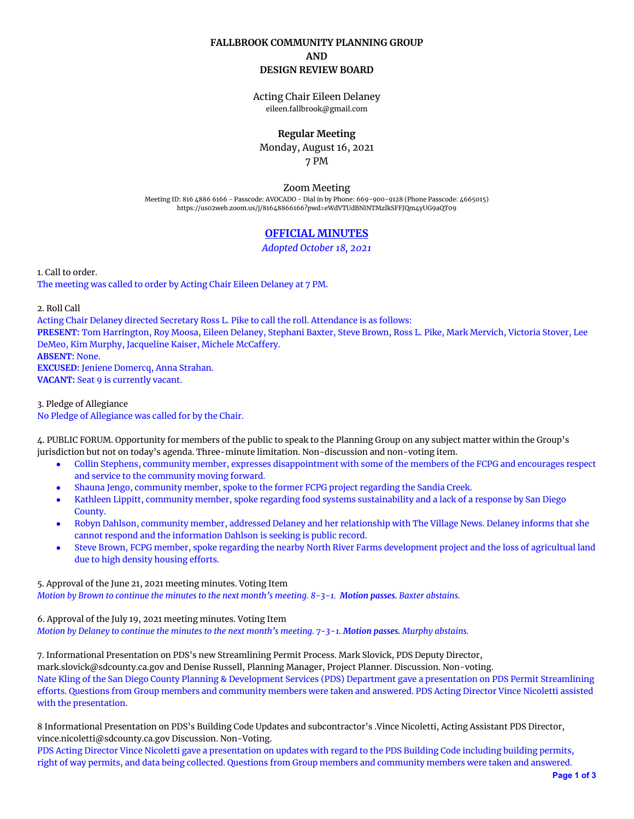## **FALLBROOK COMMUNITY PLANNING GROUP AND DESIGN REVIEW BOARD**

Acting Chair Eileen Delaney eileen.fallbrook@gmail.com

## **Regular Meeting**

Monday, August 16, 2021 7 PM

Zoom Meeting

Meeting ID: 816 4886 6166 - Passcode: AVOCADO - Dial in by Phone: 669-900-9128 (Phone Passcode: 4665015) <https://us02web.zoom.us/j/81648866166?pwd=eWdVTUdBNlNTMzlkSFFJQm4yUG9aQT09>

# **OFFICIAL MINUTES**

*Adopted October 18, 2021*

1. Call to order. The meeting was called to order by Acting Chair Eileen Delaney at 7 PM.

2. Roll Call

Acting Chair Delaney directed Secretary Ross L. Pike to call the roll. Attendance is as follows: **PRESENT:** Tom Harrington, Roy Moosa, Eileen Delaney, Stephani Baxter, Steve Brown, Ross L. Pike, Mark Mervich, Victoria Stover, Lee DeMeo, Kim Murphy, Jacqueline Kaiser, Michele McCaffery. **ABSENT:** None. **EXCUSED:** Jeniene Domercq, Anna Strahan. **VACANT:** Seat 9 is currently vacant.

3. Pledge of Allegiance No Pledge of Allegiance was called for by the Chair.

4. PUBLIC FORUM. Opportunity for members of the public to speak to the Planning Group on any subject matter within the Group's jurisdiction but not on today's agenda. Three-minute limitation. Non-discussion and non-voting item.

- Collin Stephens, community member, expresses disappointment with some of the members of the FCPG and encourages respect and service to the community moving forward.
- Shauna Jengo, community member, spoke to the former FCPG project regarding the Sandia Creek.
- Kathleen Lippitt, community member, spoke regarding food systems sustainability and a lack of a response by San Diego County.
- Robyn Dahlson, community member, addressed Delaney and her relationship with The Village News. Delaney informs that she cannot respond and the information Dahlson is seeking is public record.
- Steve Brown, FCPG member, spoke regarding the nearby North River Farms development project and the loss of agricultual land due to high density housing efforts.

5. Approval of the June 21, 2021 meeting minutes. Voting Item Motion by Brown to continue the minutes to the next month's meeting. 8-3-1. Motion passes. Baxter abstains.

6. Approval of the July 19, 2021 meeting minutes. Voting Item

Motion by Delaney to continue the minutes to the next month's meeting. 7-3-1. Motion passes. Murphy abstains.

7. Informational Presentation on PDS's new Streamlining Permit Process. Mark Slovick, PDS Deputy Director, mark.slovick@sdcounty.ca.gov and Denise Russell, Planning Manager, Project Planner. Discussion. Non-voting. Nate Kling of the San Diego County Planning & Development Services (PDS) Department gave a presentation on PDS Permit Streamlining efforts. Questions from Group members and community members were taken and answered. PDS Acting Director Vince Nicoletti assisted with the presentation.

8 Informational Presentation on PDS's Building Code Updates and subcontractor's .Vince Nicoletti, Acting Assistant PDS Director, vince.nicoletti@sdcounty.ca.gov Discussion. Non-Voting.

PDS Acting Director Vince Nicoletti gave a presentation on updates with regard to the PDS Building Code including building permits, right of way permits, and data being collected. Questions from Group members and community members were taken and answered.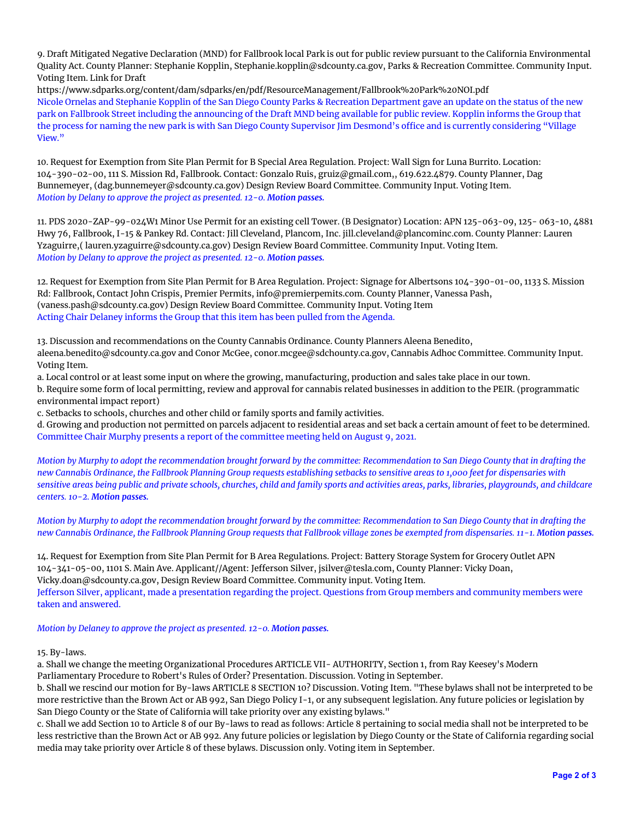9. Draft Mitigated Negative Declaration (MND) for Fallbrook local Park is out for public review pursuant to the California Environmental Quality Act. County Planner: Stephanie Kopplin, Stephanie.kopplin@sdcounty.ca.gov, Parks & Recreation Committee. Community Input. Voting Item. Link for Draft

https://www.sdparks.org/content/dam/sdparks/en/pdf/ResourceManagement/Fallbrook%20Park%20NOI.pdf Nicole Ornelas and Stephanie Kopplin of the San Diego County Parks & Recreation Department gave an update on the status of the new park on Fallbrook Street including the announcing of the Draft MND being available for public review. Kopplin informs the Group that the process for naming the new park is with San Diego County Supervisor Jim Desmond's office and is currently considering "Village View."

10. Request for Exemption from Site Plan Permit for B Special Area Regulation. Project: Wall Sign for Luna Burrito. Location: 104-390-02-00, 111 S. Mission Rd, Fallbrook. Contact: Gonzalo Ruis, gruiz@gmail.com,, 619.622.4879. County Planner, Dag Bunnemeyer, (dag.bunnemeyer@sdcounty.ca.gov) Design Review Board Committee. Community Input. Voting Item. *Motion by Delany to approve the project as presented. 12-0. Motion passes.*

11. PDS 2020-ZAP-99-024W1 Minor Use Permit for an existing cell Tower. (B Designator) Location: APN 125-063-09, 125- 063-10, 4881 Hwy 76, Fallbrook, I-15 & Pankey Rd. Contact: Jill Cleveland, Plancom, Inc. jill.cleveland@plancominc.com. County Planner: Lauren Yzaguirre,( lauren.yzaguirre@sdcounty.ca.gov) Design Review Board Committee. Community Input. Voting Item. *Motion by Delany to approve the project as presented. 12-0. Motion passes.*

12. Request for Exemption from Site Plan Permit for B Area Regulation. Project: Signage for Albertsons 104-390-01-00, 1133 S. Mission Rd: Fallbrook, Contact John Crispis, Premier Permits, info@premierpemits.com. County Planner, Vanessa Pash, (vaness.pash@sdcounty.ca.gov) Design Review Board Committee. Community Input. Voting Item Acting Chair Delaney informs the Group that this item has been pulled from the Agenda.

13. Discussion and recommendations on the County Cannabis Ordinance. County Planners Aleena Benedito, aleena.benedito@sdcounty.ca.gov and Conor McGee, conor.mcgee@sdchounty.ca.gov, Cannabis Adhoc Committee. Community Input. Voting Item.

a. Local control or at least some input on where the growing, manufacturing, production and sales take place in our town.

b. Require some form of local permitting, review and approval for cannabis related businesses in addition to the PEIR. (programmatic environmental impact report)

c. Setbacks to schools, churches and other child or family sports and family activities.

d. Growing and production not permitted on parcels adjacent to residential areas and set back a certain amount of feet to be determined. Committee Chair Murphy presents a report of the committee meeting held on August 9, 2021.

Motion by Murphy to adopt the recommendation brought forward by the committee: Recommendation to San Diego County that in drafting the new Cannabis Ordinance, the Fallbrook Planning Group requests establishing setbacks to sensitive areas to 1,000 feet for dispensaries with sensitive areas being public and private schools, churches, child and family sports and activities areas, parks, libraries, playgrounds, and childcare *centers. 10-2. Motion passes.*

Motion by Murphy to adopt the recommendation brought forward by the committee: Recommendation to San Diego County that in drafting the new Cannabis Ordinance, the Fallbrook Planning Group requests that Fallbrook village zones be exempted from dispensaries. 11-1. Motion passes.

14. Request for Exemption from Site Plan Permit for B Area Regulations. Project: Battery Storage System for Grocery Outlet APN 104-341-05-00, 1101 S. Main Ave. Applicant//Agent: Jefferson Silver, jsilver@tesla.com, County Planner: Vicky Doan, Vicky.doan@sdcounty.ca.gov, Design Review Board Committee. Community input. Voting Item. Jefferson Silver, applicant, made a presentation regarding the project. Questions from Group members and community members were taken and answered.

*Motion by Delaney to approve the project as presented. 12-0. Motion passes.*

### 15. By-laws.

a. Shall we change the meeting Organizational Procedures ARTICLE VII- AUTHORITY, Section 1, from Ray Keesey's Modern Parliamentary Procedure to Robert's Rules of Order? Presentation. Discussion. Voting in September.

b. Shall we rescind our motion for By-laws ARTICLE 8 SECTION 10? Discussion. Voting Item. "These bylaws shall not be interpreted to be more restrictive than the Brown Act or AB 992, San Diego Policy I-1, or any subsequent legislation. Any future policies or legislation by San Diego County or the State of California will take priority over any existing bylaws."

c. Shall we add Section 10 to Article 8 of our By-laws to read as follows: Article 8 pertaining to social media shall not be interpreted to be less restrictive than the Brown Act or AB 992. Any future policies or legislation by Diego County or the State of California regarding social media may take priority over Article 8 of these bylaws. Discussion only. Voting item in September.